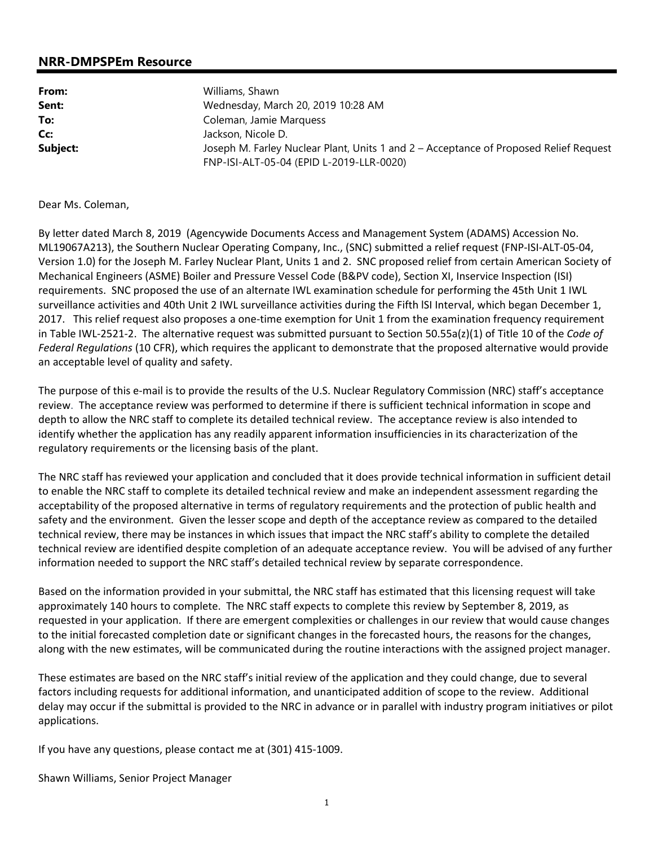## **NRR-DMPSPEm Resource**

| From:    | Williams, Shawn                                                                                                                   |  |
|----------|-----------------------------------------------------------------------------------------------------------------------------------|--|
| Sent:    | Wednesday, March 20, 2019 10:28 AM                                                                                                |  |
| To:      | Coleman, Jamie Marquess                                                                                                           |  |
| Cc:      | Jackson, Nicole D.                                                                                                                |  |
| Subject: | Joseph M. Farley Nuclear Plant, Units 1 and 2 – Acceptance of Proposed Relief Request<br>FNP-ISI-ALT-05-04 (EPID L-2019-LLR-0020) |  |

## Dear Ms. Coleman,

By letter dated March 8, 2019 (Agencywide Documents Access and Management System (ADAMS) Accession No. ML19067A213), the Southern Nuclear Operating Company, Inc., (SNC) submitted a relief request (FNP-ISI-ALT-05-04, Version 1.0) for the Joseph M. Farley Nuclear Plant, Units 1 and 2. SNC proposed relief from certain American Society of Mechanical Engineers (ASME) Boiler and Pressure Vessel Code (B&PV code), Section XI, Inservice Inspection (ISI) requirements. SNC proposed the use of an alternate IWL examination schedule for performing the 45th Unit 1 IWL surveillance activities and 40th Unit 2 IWL surveillance activities during the Fifth lSI Interval, which began December 1, 2017. This relief request also proposes a one-time exemption for Unit 1 from the examination frequency requirement in Table IWL-2521-2. The alternative request was submitted pursuant to Section 50.55a(z)(1) of Title 10 of the *Code of Federal Regulations* (10 CFR), which requires the applicant to demonstrate that the proposed alternative would provide an acceptable level of quality and safety.

The purpose of this e-mail is to provide the results of the U.S. Nuclear Regulatory Commission (NRC) staff's acceptance review. The acceptance review was performed to determine if there is sufficient technical information in scope and depth to allow the NRC staff to complete its detailed technical review. The acceptance review is also intended to identify whether the application has any readily apparent information insufficiencies in its characterization of the regulatory requirements or the licensing basis of the plant.

The NRC staff has reviewed your application and concluded that it does provide technical information in sufficient detail to enable the NRC staff to complete its detailed technical review and make an independent assessment regarding the acceptability of the proposed alternative in terms of regulatory requirements and the protection of public health and safety and the environment. Given the lesser scope and depth of the acceptance review as compared to the detailed technical review, there may be instances in which issues that impact the NRC staff's ability to complete the detailed technical review are identified despite completion of an adequate acceptance review. You will be advised of any further information needed to support the NRC staff's detailed technical review by separate correspondence.

Based on the information provided in your submittal, the NRC staff has estimated that this licensing request will take approximately 140 hours to complete. The NRC staff expects to complete this review by September 8, 2019, as requested in your application. If there are emergent complexities or challenges in our review that would cause changes to the initial forecasted completion date or significant changes in the forecasted hours, the reasons for the changes, along with the new estimates, will be communicated during the routine interactions with the assigned project manager.

These estimates are based on the NRC staff's initial review of the application and they could change, due to several factors including requests for additional information, and unanticipated addition of scope to the review. Additional delay may occur if the submittal is provided to the NRC in advance or in parallel with industry program initiatives or pilot applications.

If you have any questions, please contact me at (301) 415-1009.

Shawn Williams, Senior Project Manager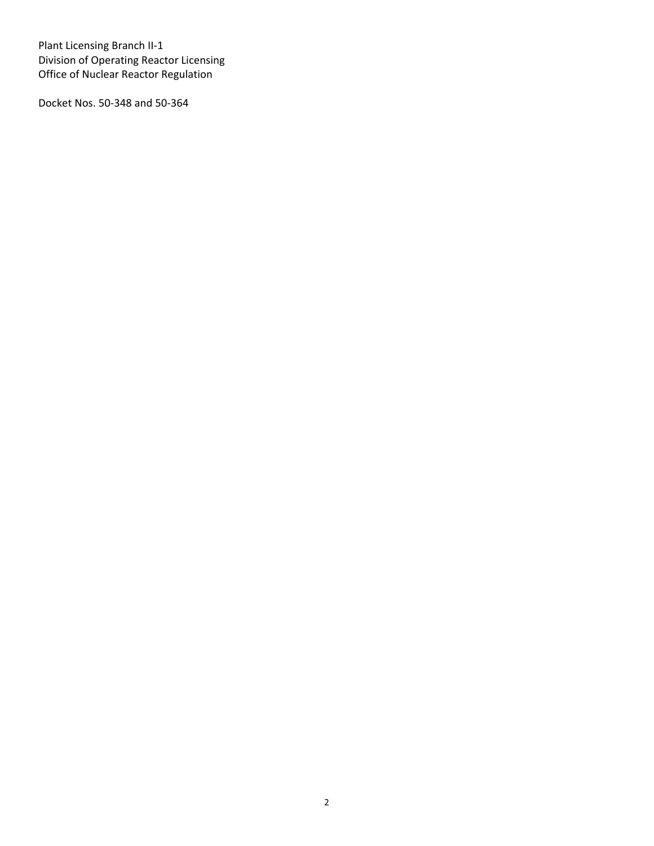Plant Licensing Branch II-1 Division of Operating Reactor Licensing Office of Nuclear Reactor Regulation

Docket Nos. 50-348 and 50-364